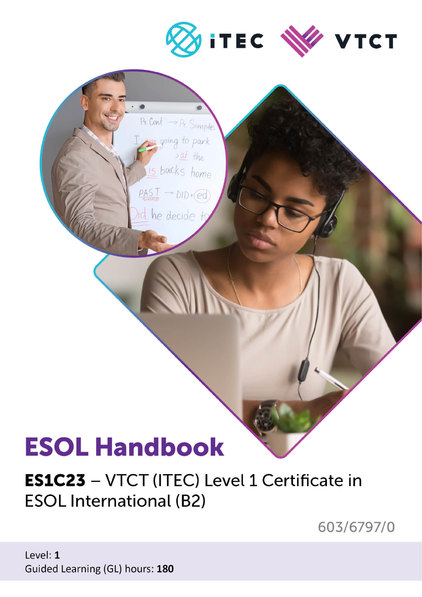

# **ES1C23** - VTCT (ITEC) Level 1 Certificate in **ESOL International (B2)**

603/6797/0

Level: 1 Guided Learning (GL) hours: 180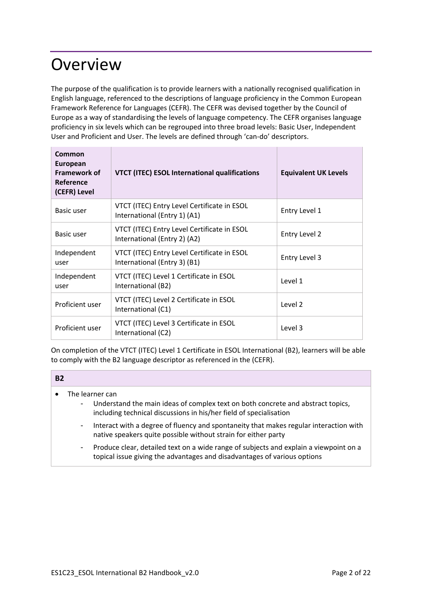### **Overview**

The purpose of the qualification is to provide learners with a nationally recognised qualification in English language, referenced to the descriptions of language proficiency in the Common European Framework Reference for Languages (CEFR). The CEFR was devised together by the Council of Europe as a way of standardising the levels of language competency. The CEFR organises language proficiency in six levels which can be regrouped into three broad levels: Basic User, Independent User and Proficient and User. The levels are defined through 'can-do' descriptors.

| Common<br>European<br><b>Framework of</b><br>Reference<br>(CEFR) Level | <b>VTCT (ITEC) ESOL International qualifications</b>                        | <b>Equivalent UK Levels</b> |
|------------------------------------------------------------------------|-----------------------------------------------------------------------------|-----------------------------|
| Basic user                                                             | VTCT (ITEC) Entry Level Certificate in ESOL<br>International (Entry 1) (A1) | Entry Level 1               |
| Basic user                                                             | VTCT (ITEC) Entry Level Certificate in ESOL<br>International (Entry 2) (A2) | Entry Level 2               |
| Independent<br>user                                                    | VTCT (ITEC) Entry Level Certificate in ESOL<br>International (Entry 3) (B1) | Entry Level 3               |
| Independent<br>user                                                    | VTCT (ITEC) Level 1 Certificate in ESOL<br>International (B2)               | Level 1                     |
| Proficient user                                                        | VTCT (ITEC) Level 2 Certificate in ESOL<br>International (C1)               | Level 2                     |
| Proficient user                                                        | VTCT (ITEC) Level 3 Certificate in ESOL<br>International (C2)               | Level 3                     |

On completion of the VTCT (ITEC) Level 1 Certificate in ESOL International (B2), learners will be able to comply with the B2 language descriptor as referenced in the (CEFR).

#### **B2**

- The learner can
	- Understand the main ideas of complex text on both concrete and abstract topics, including technical discussions in his/her field of specialisation
	- Interact with a degree of fluency and spontaneity that makes regular interaction with native speakers quite possible without strain for either party
	- Produce clear, detailed text on a wide range of subjects and explain a viewpoint on a topical issue giving the advantages and disadvantages of various options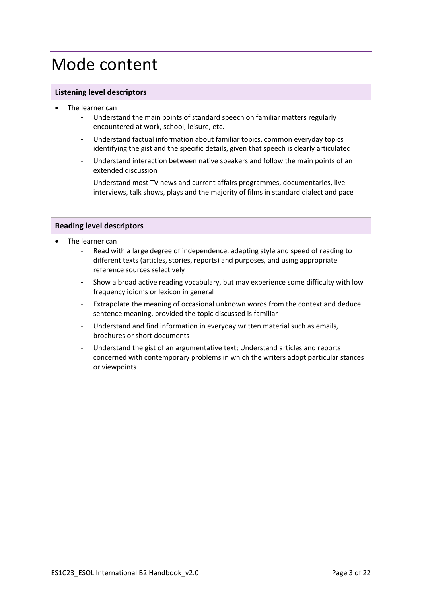## Mode content

#### **Listening level descriptors**

- The learner can
	- Understand the main points of standard speech on familiar matters regularly encountered at work, school, leisure, etc.
	- Understand factual information about familiar topics, common everyday topics identifying the gist and the specific details, given that speech is clearly articulated
	- Understand interaction between native speakers and follow the main points of an extended discussion
	- Understand most TV news and current affairs programmes, documentaries, live interviews, talk shows, plays and the majority of films in standard dialect and pace

#### **Reading level descriptors**

- The learner can
	- Read with a large degree of independence, adapting style and speed of reading to different texts (articles, stories, reports) and purposes, and using appropriate reference sources selectively
	- Show a broad active reading vocabulary, but may experience some difficulty with low frequency idioms or lexicon in general
	- Extrapolate the meaning of occasional unknown words from the context and deduce sentence meaning, provided the topic discussed is familiar
	- Understand and find information in everyday written material such as emails, brochures or short documents
	- Understand the gist of an argumentative text; Understand articles and reports concerned with contemporary problems in which the writers adopt particular stances or viewpoints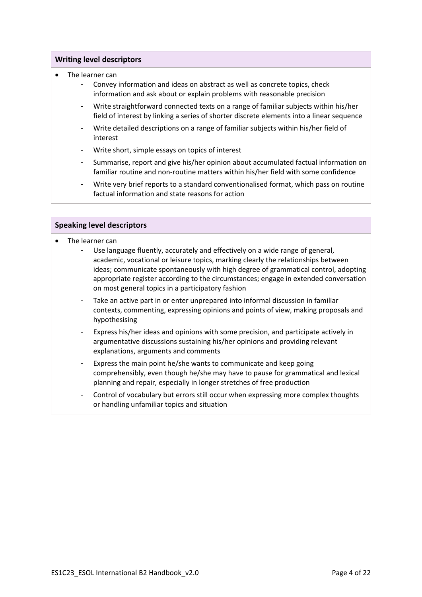#### **Writing level descriptors**

- The learner can
	- Convey information and ideas on abstract as well as concrete topics, check information and ask about or explain problems with reasonable precision
	- Write straightforward connected texts on a range of familiar subjects within his/her field of interest by linking a series of shorter discrete elements into a linear sequence
	- Write detailed descriptions on a range of familiar subjects within his/her field of interest
	- Write short, simple essays on topics of interest
	- Summarise, report and give his/her opinion about accumulated factual information on familiar routine and non-routine matters within his/her field with some confidence
	- Write very brief reports to a standard conventionalised format, which pass on routine factual information and state reasons for action

#### **Speaking level descriptors**

- The learner can
	- Use language fluently, accurately and effectively on a wide range of general, academic, vocational or leisure topics, marking clearly the relationships between ideas; communicate spontaneously with high degree of grammatical control, adopting appropriate register according to the circumstances; engage in extended conversation on most general topics in a participatory fashion
	- Take an active part in or enter unprepared into informal discussion in familiar contexts, commenting, expressing opinions and points of view, making proposals and hypothesising
	- Express his/her ideas and opinions with some precision, and participate actively in argumentative discussions sustaining his/her opinions and providing relevant explanations, arguments and comments
	- Express the main point he/she wants to communicate and keep going comprehensibly, even though he/she may have to pause for grammatical and lexical planning and repair, especially in longer stretches of free production
	- Control of vocabulary but errors still occur when expressing more complex thoughts or handling unfamiliar topics and situation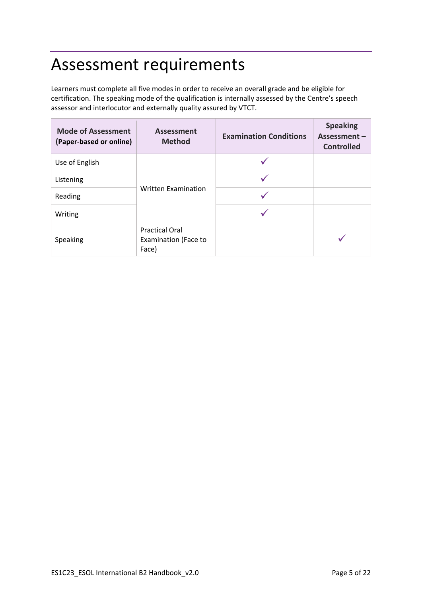### Assessment requirements

Learners must complete all five modes in order to receive an overall grade and be eligible for certification. The speaking mode of the qualification is internally assessed by the Centre's speech assessor and interlocutor and externally quality assured by VTCT.

| <b>Mode of Assessment</b><br><b>Assessment</b><br><b>Method</b><br>(Paper-based or online) |                                                               | <b>Examination Conditions</b> | <b>Speaking</b><br>Assessment-<br><b>Controlled</b> |
|--------------------------------------------------------------------------------------------|---------------------------------------------------------------|-------------------------------|-----------------------------------------------------|
| Use of English                                                                             |                                                               |                               |                                                     |
| Listening                                                                                  |                                                               |                               |                                                     |
| Reading                                                                                    | <b>Written Examination</b>                                    |                               |                                                     |
| Writing                                                                                    |                                                               |                               |                                                     |
| Speaking                                                                                   | <b>Practical Oral</b><br><b>Examination (Face to</b><br>Face) |                               |                                                     |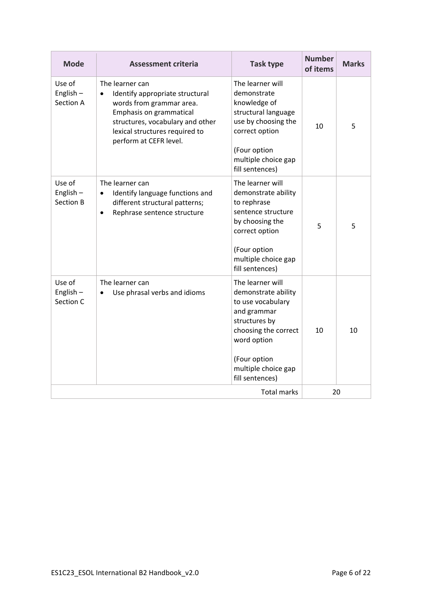| <b>Mode</b>                               | <b>Assessment criteria</b>                                                                                                                                                                                | <b>Task type</b>                                                                                                                                                                              | <b>Number</b><br>of items | <b>Marks</b> |
|-------------------------------------------|-----------------------------------------------------------------------------------------------------------------------------------------------------------------------------------------------------------|-----------------------------------------------------------------------------------------------------------------------------------------------------------------------------------------------|---------------------------|--------------|
| Use of<br>English $-$<br>Section A        | The learner can<br>Identify appropriate structural<br>words from grammar area.<br>Emphasis on grammatical<br>structures, vocabulary and other<br>lexical structures required to<br>perform at CEFR level. | The learner will<br>demonstrate<br>knowledge of<br>structural language<br>use by choosing the<br>correct option<br>(Four option<br>multiple choice gap<br>fill sentences)                     | 10                        | 5            |
| Use of<br>English $-$<br><b>Section B</b> | The learner can<br>Identify language functions and<br>$\bullet$<br>different structural patterns;<br>Rephrase sentence structure<br>$\bullet$                                                             | The learner will<br>demonstrate ability<br>to rephrase<br>sentence structure<br>by choosing the<br>correct option<br>(Four option<br>multiple choice gap<br>fill sentences)                   | 5.                        | 5.           |
| Use of<br>English $-$<br>Section C        | The learner can<br>Use phrasal verbs and idioms<br>$\bullet$                                                                                                                                              | The learner will<br>demonstrate ability<br>to use vocabulary<br>and grammar<br>structures by<br>choosing the correct<br>word option<br>(Four option<br>multiple choice gap<br>fill sentences) | 10                        | 10           |
|                                           |                                                                                                                                                                                                           | <b>Total marks</b>                                                                                                                                                                            | 20                        |              |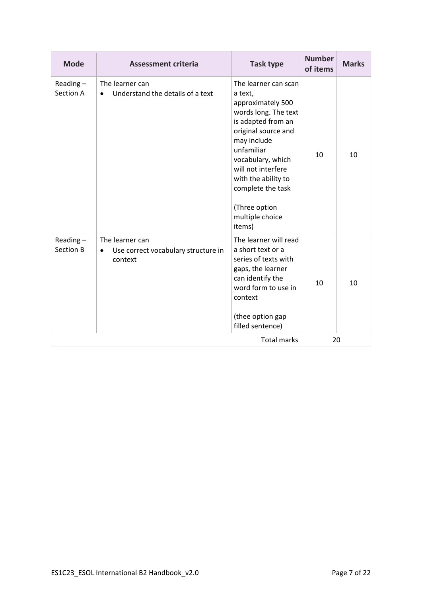| <b>Mode</b>           | <b>Assessment criteria</b>                                        | Task type                                                                                                                                                                                                                                                                                   | <b>Number</b><br>of items | <b>Marks</b> |
|-----------------------|-------------------------------------------------------------------|---------------------------------------------------------------------------------------------------------------------------------------------------------------------------------------------------------------------------------------------------------------------------------------------|---------------------------|--------------|
| Reading-<br>Section A | The learner can<br>Understand the details of a text<br>$\bullet$  | The learner can scan<br>a text,<br>approximately 500<br>words long. The text<br>is adapted from an<br>original source and<br>may include<br>unfamiliar<br>vocabulary, which<br>will not interfere<br>with the ability to<br>complete the task<br>(Three option<br>multiple choice<br>items) | 10                        | 10           |
| Reading-<br>Section B | The learner can<br>Use correct vocabulary structure in<br>context | The learner will read<br>a short text or a<br>series of texts with<br>gaps, the learner<br>can identify the<br>word form to use in<br>context<br>(thee option gap<br>filled sentence)                                                                                                       | 10                        | 10           |
|                       |                                                                   | <b>Total marks</b>                                                                                                                                                                                                                                                                          | 20                        |              |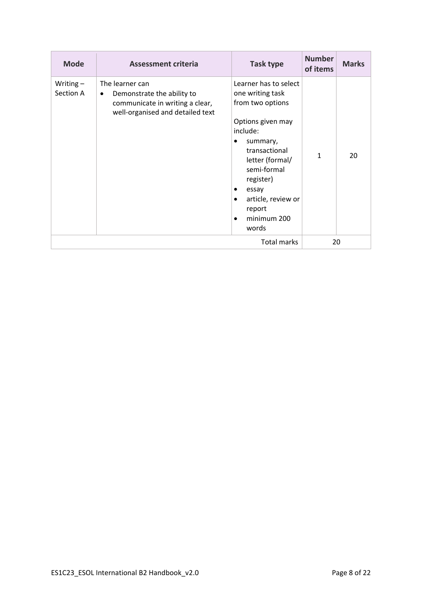| <b>Mode</b>              | <b>Assessment criteria</b>                                                                                                        | <b>Task type</b>                                                                                                                                                                                                                            | <b>Number</b><br>of items | <b>Marks</b> |
|--------------------------|-----------------------------------------------------------------------------------------------------------------------------------|---------------------------------------------------------------------------------------------------------------------------------------------------------------------------------------------------------------------------------------------|---------------------------|--------------|
| Writing $-$<br>Section A | The learner can<br>Demonstrate the ability to<br>$\bullet$<br>communicate in writing a clear,<br>well-organised and detailed text | Learner has to select<br>one writing task<br>from two options<br>Options given may<br>include:<br>summary,<br>transactional<br>letter (formal/<br>semi-formal<br>register)<br>essay<br>article, review or<br>report<br>minimum 200<br>words | $\mathbf{1}$              | 20           |
|                          |                                                                                                                                   | <b>Total marks</b>                                                                                                                                                                                                                          | 20                        |              |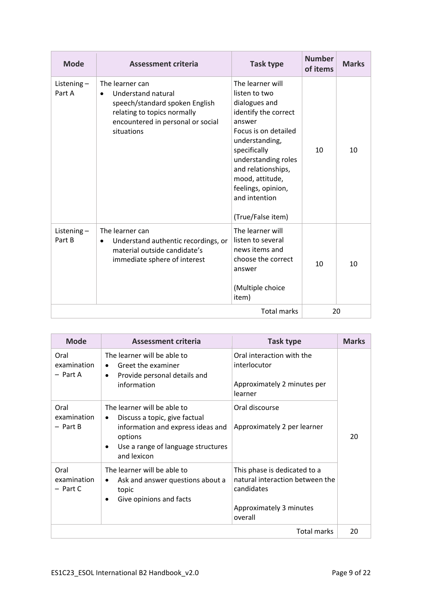| <b>Mode</b>             | <b>Assessment criteria</b>                                                                                                                                       | Task type                                                                                                                                                                                                                                                                  | <b>Number</b><br>of items | <b>Marks</b> |
|-------------------------|------------------------------------------------------------------------------------------------------------------------------------------------------------------|----------------------------------------------------------------------------------------------------------------------------------------------------------------------------------------------------------------------------------------------------------------------------|---------------------------|--------------|
| Listening $-$<br>Part A | The learner can<br><b>Understand natural</b><br>speech/standard spoken English<br>relating to topics normally<br>encountered in personal or social<br>situations | The learner will<br>listen to two<br>dialogues and<br>identify the correct<br>answer<br>Focus is on detailed<br>understanding,<br>specifically<br>understanding roles<br>and relationships,<br>mood, attitude,<br>feelings, opinion,<br>and intention<br>(True/False item) | 10                        | 10           |
| Listening $-$<br>Part B | The learner can<br>Understand authentic recordings, or<br>$\bullet$<br>material outside candidate's<br>immediate sphere of interest                              | The learner will<br>listen to several<br>news items and<br>choose the correct<br>answer<br>(Multiple choice<br>item)                                                                                                                                                       | 10                        | 10           |
|                         |                                                                                                                                                                  | <b>Total marks</b>                                                                                                                                                                                                                                                         | 20                        |              |

| <b>Mode</b>                     | <b>Assessment criteria</b>                                                                                                                                                          | <b>Task type</b>                                                                                                    | <b>Marks</b> |
|---------------------------------|-------------------------------------------------------------------------------------------------------------------------------------------------------------------------------------|---------------------------------------------------------------------------------------------------------------------|--------------|
| Oral<br>examination<br>- Part A | The learner will be able to<br>Greet the examiner<br>$\bullet$<br>Provide personal details and<br>٠<br>information                                                                  | Oral interaction with the<br>interlocutor<br>Approximately 2 minutes per<br>learner                                 |              |
| Oral<br>examination<br>- Part B | The learner will be able to<br>Discuss a topic, give factual<br>$\bullet$<br>information and express ideas and<br>options<br>Use a range of language structures<br>٠<br>and lexicon | Oral discourse<br>Approximately 2 per learner                                                                       | 20           |
| Oral<br>examination<br>- Part C | The learner will be able to<br>Ask and answer questions about a<br>$\bullet$<br>topic<br>Give opinions and facts                                                                    | This phase is dedicated to a<br>natural interaction between the<br>candidates<br>Approximately 3 minutes<br>overall |              |
|                                 |                                                                                                                                                                                     | <b>Total marks</b>                                                                                                  | 20           |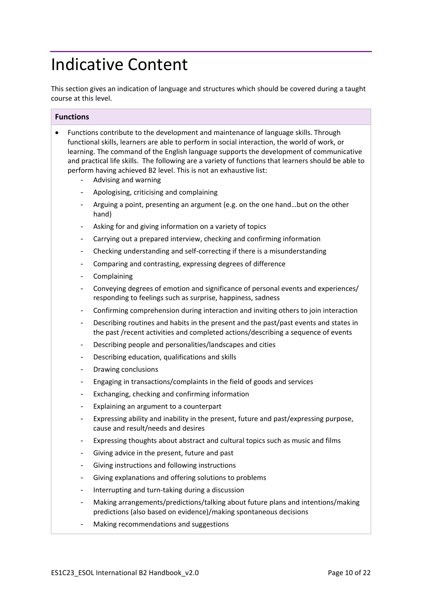## Indicative Content

This section gives an indication of language and structures which should be covered during a taught course at this level.

#### **Functions**

- Functions contribute to the development and maintenance of language skills. Through functional skills, learners are able to perform in social interaction, the world of work, or learning. The command of the English language supports the development of communicative and practical life skills. The following are a variety of functions that learners should be able to perform having achieved B2 level. This is not an exhaustive list:
	- Advising and warning
	- Apologising, criticising and complaining
	- Arguing a point, presenting an argument (e.g. on the one hand…but on the other hand)
	- Asking for and giving information on a variety of topics
	- Carrying out a prepared interview, checking and confirming information
	- Checking understanding and self-correcting if there is a misunderstanding
	- Comparing and contrasting, expressing degrees of difference
	- Complaining
	- Conveying degrees of emotion and significance of personal events and experiences/ responding to feelings such as surprise, happiness, sadness
	- Confirming comprehension during interaction and inviting others to join interaction
	- Describing routines and habits in the present and the past/past events and states in the past /recent activities and completed actions/describing a sequence of events
	- Describing people and personalities/landscapes and cities
	- Describing education, qualifications and skills
	- Drawing conclusions
	- Engaging in transactions/complaints in the field of goods and services
	- Exchanging, checking and confirming information
	- Explaining an argument to a counterpart
	- Expressing ability and inability in the present, future and past/expressing purpose, cause and result/needs and desires
	- Expressing thoughts about abstract and cultural topics such as music and films
	- Giving advice in the present, future and past
	- Giving instructions and following instructions
	- Giving explanations and offering solutions to problems
	- Interrupting and turn-taking during a discussion
	- Making arrangements/predictions/talking about future plans and intentions/making predictions (also based on evidence)/making spontaneous decisions
	- Making recommendations and suggestions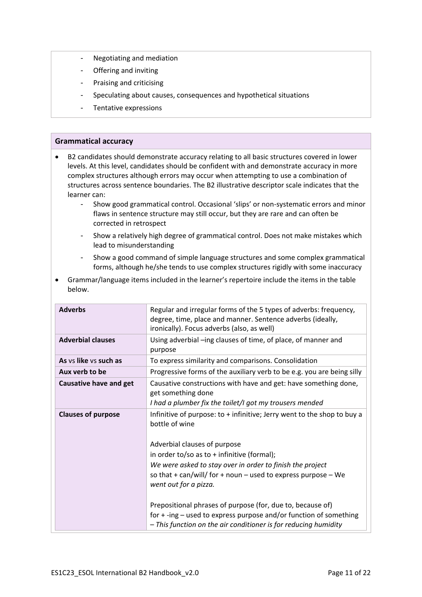- Negotiating and mediation
- Offering and inviting
- Praising and criticising
- Speculating about causes, consequences and hypothetical situations
- Tentative expressions

#### **Grammatical accuracy**

- B2 candidates should demonstrate accuracy relating to all basic structures covered in lower levels. At this level, candidates should be confident with and demonstrate accuracy in more complex structures although errors may occur when attempting to use a combination of structures across sentence boundaries. The B2 illustrative descriptor scale indicates that the learner can:
	- Show good grammatical control. Occasional 'slips' or non-systematic errors and minor flaws in sentence structure may still occur, but they are rare and can often be corrected in retrospect
	- Show a relatively high degree of grammatical control. Does not make mistakes which lead to misunderstanding
	- Show a good command of simple language structures and some complex grammatical forms, although he/she tends to use complex structures rigidly with some inaccuracy
- Grammar/language items included in the learner's repertoire include the items in the table below.

| <b>Adverbs</b>            | Regular and irregular forms of the 5 types of adverbs: frequency,<br>degree, time, place and manner. Sentence adverbs (ideally,<br>ironically). Focus adverbs (also, as well) |
|---------------------------|-------------------------------------------------------------------------------------------------------------------------------------------------------------------------------|
| <b>Adverbial clauses</b>  | Using adverbial -ing clauses of time, of place, of manner and<br>purpose                                                                                                      |
| As vs like vs such as     | To express similarity and comparisons. Consolidation                                                                                                                          |
| Aux verb to be            | Progressive forms of the auxiliary verb to be e.g. you are being silly                                                                                                        |
| Causative have and get    | Causative constructions with have and get: have something done,<br>get something done                                                                                         |
|                           | I had a plumber fix the toilet/I got my trousers mended                                                                                                                       |
| <b>Clauses of purpose</b> | Infinitive of purpose: to + infinitive; Jerry went to the shop to buy a<br>bottle of wine                                                                                     |
|                           | Adverbial clauses of purpose                                                                                                                                                  |
|                           | in order to/so as to $+$ infinitive (formal);                                                                                                                                 |
|                           | We were asked to stay over in order to finish the project                                                                                                                     |
|                           | so that $+$ can/will/ for $+$ noun $-$ used to express purpose $-$ We<br>went out for a pizza.                                                                                |
|                           | Prepositional phrases of purpose (for, due to, because of)                                                                                                                    |
|                           | for $+$ -ing – used to express purpose and/or function of something<br>- This function on the air conditioner is for reducing humidity                                        |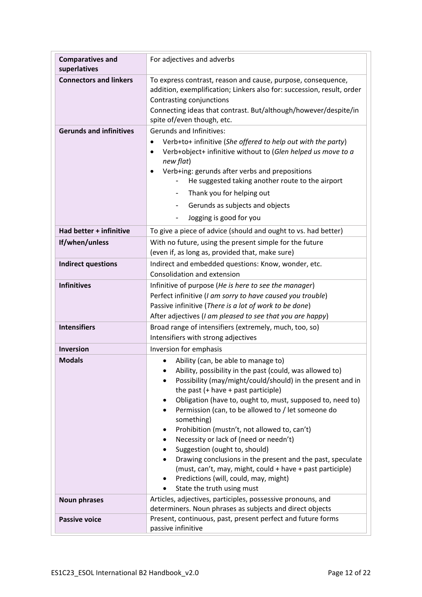| <b>Comparatives and</b><br>superlatives | For adjectives and adverbs                                                                                                                                                                                                                                                                                                                                                                                                                                                                                                                                                                                                            |
|-----------------------------------------|---------------------------------------------------------------------------------------------------------------------------------------------------------------------------------------------------------------------------------------------------------------------------------------------------------------------------------------------------------------------------------------------------------------------------------------------------------------------------------------------------------------------------------------------------------------------------------------------------------------------------------------|
| <b>Connectors and linkers</b>           | To express contrast, reason and cause, purpose, consequence,<br>addition, exemplification; Linkers also for: succession, result, order<br>Contrasting conjunctions<br>Connecting ideas that contrast. But/although/however/despite/in<br>spite of/even though, etc.                                                                                                                                                                                                                                                                                                                                                                   |
| <b>Gerunds and infinitives</b>          | <b>Gerunds and Infinitives:</b>                                                                                                                                                                                                                                                                                                                                                                                                                                                                                                                                                                                                       |
|                                         | Verb+to+ infinitive (She offered to help out with the party)<br>Verb+object+ infinitive without to (Glen helped us move to a<br>$\bullet$<br>new flat)<br>Verb+ing: gerunds after verbs and prepositions<br>$\bullet$<br>He suggested taking another route to the airport                                                                                                                                                                                                                                                                                                                                                             |
|                                         | Thank you for helping out                                                                                                                                                                                                                                                                                                                                                                                                                                                                                                                                                                                                             |
|                                         | Gerunds as subjects and objects<br>$\overline{\phantom{a}}$                                                                                                                                                                                                                                                                                                                                                                                                                                                                                                                                                                           |
|                                         | Jogging is good for you                                                                                                                                                                                                                                                                                                                                                                                                                                                                                                                                                                                                               |
| Had better + infinitive                 | To give a piece of advice (should and ought to vs. had better)                                                                                                                                                                                                                                                                                                                                                                                                                                                                                                                                                                        |
| If/when/unless                          | With no future, using the present simple for the future<br>(even if, as long as, provided that, make sure)                                                                                                                                                                                                                                                                                                                                                                                                                                                                                                                            |
| <b>Indirect questions</b>               | Indirect and embedded questions: Know, wonder, etc.<br>Consolidation and extension                                                                                                                                                                                                                                                                                                                                                                                                                                                                                                                                                    |
| <b>Infinitives</b>                      | Infinitive of purpose (He is here to see the manager)<br>Perfect infinitive (I am sorry to have caused you trouble)<br>Passive infinitive (There is a lot of work to be done)<br>After adjectives (I am pleased to see that you are happy)                                                                                                                                                                                                                                                                                                                                                                                            |
| <b>Intensifiers</b>                     | Broad range of intensifiers (extremely, much, too, so)<br>Intensifiers with strong adjectives                                                                                                                                                                                                                                                                                                                                                                                                                                                                                                                                         |
| <b>Inversion</b>                        | Inversion for emphasis                                                                                                                                                                                                                                                                                                                                                                                                                                                                                                                                                                                                                |
| <b>Modals</b>                           | Ability (can, be able to manage to)<br>$\bullet$<br>Ability, possibility in the past (could, was allowed to)<br>Possibility (may/might/could/should) in the present and in<br>the past $(+)$ have $+$ past participle)<br>Obligation (have to, ought to, must, supposed to, need to)<br>Permission (can, to be allowed to / let someone do<br>$\bullet$<br>something)<br>Prohibition (mustn't, not allowed to, can't)<br>٠<br>Necessity or lack of (need or needn't)<br>٠<br>Suggestion (ought to, should)<br>Drawing conclusions in the present and the past, speculate<br>(must, can't, may, might, could + have + past participle) |
|                                         | Predictions (will, could, may, might)<br>State the truth using must                                                                                                                                                                                                                                                                                                                                                                                                                                                                                                                                                                   |
| <b>Noun phrases</b>                     | Articles, adjectives, participles, possessive pronouns, and<br>determiners. Noun phrases as subjects and direct objects                                                                                                                                                                                                                                                                                                                                                                                                                                                                                                               |
| <b>Passive voice</b>                    | Present, continuous, past, present perfect and future forms<br>passive infinitive                                                                                                                                                                                                                                                                                                                                                                                                                                                                                                                                                     |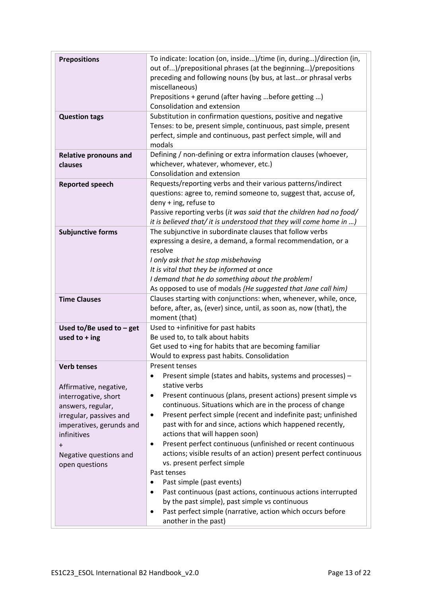| <b>Prepositions</b><br><b>Question tags</b>                                                                                                                                                                              | To indicate: location (on, inside)/time (in, during)/direction (in,<br>out of)/prepositional phrases (at the beginning)/prepositions<br>preceding and following nouns (by bus, at lastor phrasal verbs<br>miscellaneous)<br>Prepositions + gerund (after having  before getting )<br>Consolidation and extension<br>Substitution in confirmation questions, positive and negative                                                                                                                                                                                                                                                                                                                                                                                                                                                                                                              |
|--------------------------------------------------------------------------------------------------------------------------------------------------------------------------------------------------------------------------|------------------------------------------------------------------------------------------------------------------------------------------------------------------------------------------------------------------------------------------------------------------------------------------------------------------------------------------------------------------------------------------------------------------------------------------------------------------------------------------------------------------------------------------------------------------------------------------------------------------------------------------------------------------------------------------------------------------------------------------------------------------------------------------------------------------------------------------------------------------------------------------------|
|                                                                                                                                                                                                                          | Tenses: to be, present simple, continuous, past simple, present<br>perfect, simple and continuous, past perfect simple, will and<br>modals                                                                                                                                                                                                                                                                                                                                                                                                                                                                                                                                                                                                                                                                                                                                                     |
| <b>Relative pronouns and</b><br>clauses                                                                                                                                                                                  | Defining / non-defining or extra information clauses (whoever,<br>whichever, whatever, whomever, etc.)<br>Consolidation and extension                                                                                                                                                                                                                                                                                                                                                                                                                                                                                                                                                                                                                                                                                                                                                          |
| <b>Reported speech</b>                                                                                                                                                                                                   | Requests/reporting verbs and their various patterns/indirect<br>questions: agree to, remind someone to, suggest that, accuse of,<br>deny + ing, refuse to<br>Passive reporting verbs (it was said that the children had no food/<br>it is believed that/ it is understood that they will come home in )                                                                                                                                                                                                                                                                                                                                                                                                                                                                                                                                                                                        |
| <b>Subjunctive forms</b>                                                                                                                                                                                                 | The subjunctive in subordinate clauses that follow verbs<br>expressing a desire, a demand, a formal recommendation, or a<br>resolve<br>I only ask that he stop misbehaving<br>It is vital that they be informed at once<br>I demand that he do something about the problem!<br>As opposed to use of modals (He suggested that Jane call him)                                                                                                                                                                                                                                                                                                                                                                                                                                                                                                                                                   |
| <b>Time Clauses</b>                                                                                                                                                                                                      | Clauses starting with conjunctions: when, whenever, while, once,<br>before, after, as, (ever) since, until, as soon as, now (that), the<br>moment (that)                                                                                                                                                                                                                                                                                                                                                                                                                                                                                                                                                                                                                                                                                                                                       |
| Used to/Be used to $-$ get<br>used to $+$ ing                                                                                                                                                                            | Used to +infinitive for past habits<br>Be used to, to talk about habits<br>Get used to +ing for habits that are becoming familiar<br>Would to express past habits. Consolidation                                                                                                                                                                                                                                                                                                                                                                                                                                                                                                                                                                                                                                                                                                               |
| <b>Verb tenses</b><br>Affirmative, negative,<br>interrogative, short<br>answers, regular,<br>irregular, passives and<br>imperatives, gerunds and<br>infinitives<br>$\ddot{}$<br>Negative questions and<br>open questions | <b>Present tenses</b><br>Present simple (states and habits, systems and processes) -<br>$\bullet$<br>stative verbs<br>Present continuous (plans, present actions) present simple vs<br>٠<br>continuous. Situations which are in the process of change<br>Present perfect simple (recent and indefinite past; unfinished<br>$\bullet$<br>past with for and since, actions which happened recently,<br>actions that will happen soon)<br>Present perfect continuous (unfinished or recent continuous<br>٠<br>actions; visible results of an action) present perfect continuous<br>vs. present perfect simple<br>Past tenses<br>Past simple (past events)<br>$\bullet$<br>Past continuous (past actions, continuous actions interrupted<br>٠<br>by the past simple), past simple vs continuous<br>Past perfect simple (narrative, action which occurs before<br>$\bullet$<br>another in the past) |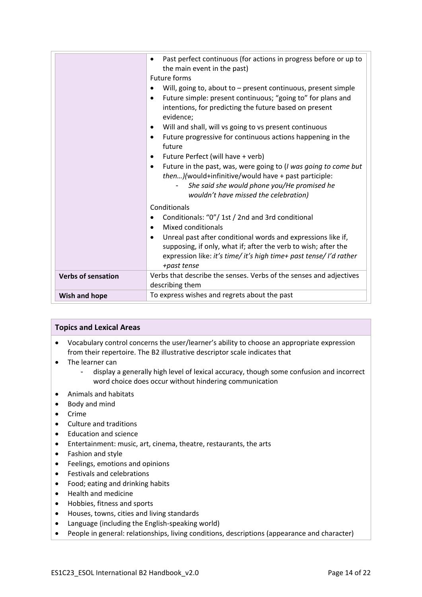|                           | Past perfect continuous (for actions in progress before or up to<br>$\bullet$<br>the main event in the past)<br><b>Future forms</b><br>Will, going to, about to $-$ present continuous, present simple<br>Future simple: present continuous; "going to" for plans and<br>$\bullet$<br>intentions, for predicting the future based on present<br>evidence;<br>Will and shall, will vs going to vs present continuous<br>$\bullet$<br>Future progressive for continuous actions happening in the<br>$\bullet$<br>future<br>Future Perfect (will have + verb)<br>Future in the past, was, were going to (I was going to come but<br>$\bullet$<br>then) (would+infinitive/would have + past participle:<br>She said she would phone you/He promised he<br>wouldn't have missed the celebration)<br>Conditionals<br>Conditionals: "0"/ 1st / 2nd and 3rd conditional<br>Mixed conditionals<br>$\bullet$<br>Unreal past after conditional words and expressions like if,<br>$\bullet$<br>supposing, if only, what if; after the verb to wish; after the<br>expression like: it's time/ it's high time+ past tense/ I'd rather<br>+past tense |
|---------------------------|----------------------------------------------------------------------------------------------------------------------------------------------------------------------------------------------------------------------------------------------------------------------------------------------------------------------------------------------------------------------------------------------------------------------------------------------------------------------------------------------------------------------------------------------------------------------------------------------------------------------------------------------------------------------------------------------------------------------------------------------------------------------------------------------------------------------------------------------------------------------------------------------------------------------------------------------------------------------------------------------------------------------------------------------------------------------------------------------------------------------------------------|
| <b>Verbs of sensation</b> | Verbs that describe the senses. Verbs of the senses and adjectives<br>describing them                                                                                                                                                                                                                                                                                                                                                                                                                                                                                                                                                                                                                                                                                                                                                                                                                                                                                                                                                                                                                                                  |
| Wish and hope             | To express wishes and regrets about the past                                                                                                                                                                                                                                                                                                                                                                                                                                                                                                                                                                                                                                                                                                                                                                                                                                                                                                                                                                                                                                                                                           |

#### **Topics and Lexical Areas**

- Vocabulary control concerns the user/learner's ability to choose an appropriate expression from their repertoire. The B2 illustrative descriptor scale indicates that
- The learner can
	- display a generally high level of lexical accuracy, though some confusion and incorrect word choice does occur without hindering communication
- Animals and habitats
- Body and mind
- Crime
- Culture and traditions
- Education and science
- Entertainment: music, art, cinema, theatre, restaurants, the arts
- Fashion and style
- Feelings, emotions and opinions
- Festivals and celebrations
- Food; eating and drinking habits
- Health and medicine
- Hobbies, fitness and sports
- Houses, towns, cities and living standards
- Language (including the English-speaking world)
- People in general: relationships, living conditions, descriptions (appearance and character)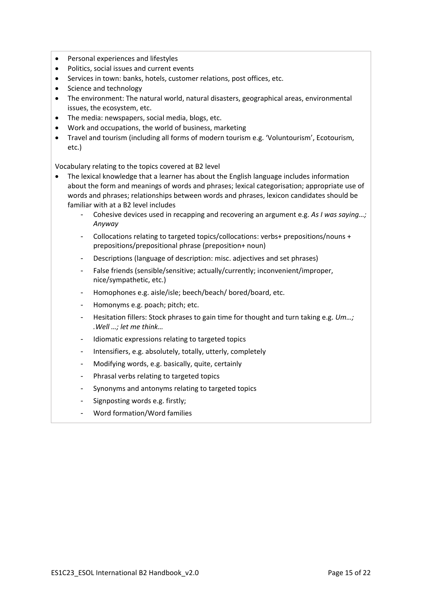- Personal experiences and lifestyles
- Politics, social issues and current events
- Services in town: banks, hotels, customer relations, post offices, etc.
- Science and technology
- The environment: The natural world, natural disasters, geographical areas, environmental issues, the ecosystem, etc.
- The media: newspapers, social media, blogs, etc.
- Work and occupations, the world of business, marketing
- Travel and tourism (including all forms of modern tourism e.g. 'Voluntourism', Ecotourism, etc.)

Vocabulary relating to the topics covered at B2 level

- The lexical knowledge that a learner has about the English language includes information about the form and meanings of words and phrases; lexical categorisation; appropriate use of words and phrases; relationships between words and phrases, lexicon candidates should be familiar with at a B2 level includes
	- Cohesive devices used in recapping and recovering an argument e.g. *As I was saying…; Anyway*
	- Collocations relating to targeted topics/collocations: verbs+ prepositions/nouns + prepositions/prepositional phrase (preposition+ noun)
	- Descriptions (language of description: misc. adjectives and set phrases)
	- False friends (sensible/sensitive; actually/currently; inconvenient/improper, nice/sympathetic, etc.)
	- Homophones e.g. aisle/isle; beech/beach/ bored/board, etc.
	- Homonyms e.g. poach; pitch; etc.
	- Hesitation fillers: Stock phrases to gain time for thought and turn taking e.g. *Um…; .Well …; let me think…*
	- Idiomatic expressions relating to targeted topics
	- Intensifiers, e.g. absolutely, totally, utterly, completely
	- Modifying words, e.g. basically, quite, certainly
	- Phrasal verbs relating to targeted topics
	- Synonyms and antonyms relating to targeted topics
	- Signposting words e.g. firstly;
	- Word formation/Word families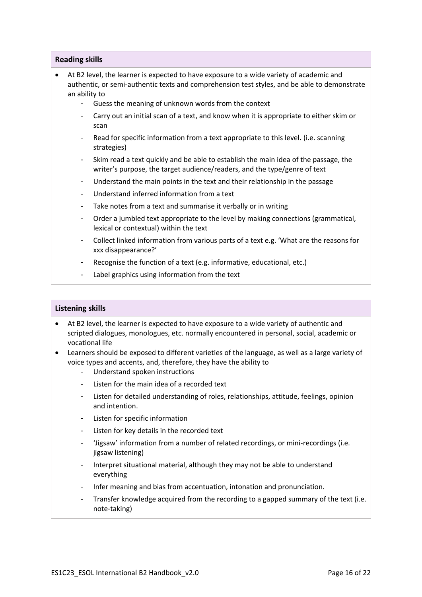#### **Reading skills**

- At B2 level, the learner is expected to have exposure to a wide variety of academic and authentic, or semi-authentic texts and comprehension test styles, and be able to demonstrate an ability to
	- Guess the meaning of unknown words from the context
	- Carry out an initial scan of a text, and know when it is appropriate to either skim or scan
	- Read for specific information from a text appropriate to this level. (i.e. scanning strategies)
	- Skim read a text quickly and be able to establish the main idea of the passage, the writer's purpose, the target audience/readers, and the type/genre of text
	- Understand the main points in the text and their relationship in the passage
	- Understand inferred information from a text
	- Take notes from a text and summarise it verbally or in writing
	- Order a jumbled text appropriate to the level by making connections (grammatical, lexical or contextual) within the text
	- Collect linked information from various parts of a text e.g. 'What are the reasons for xxx disappearance?'
	- Recognise the function of a text (e.g. informative, educational, etc.)
	- Label graphics using information from the text

#### **Listening skills**

- At B2 level, the learner is expected to have exposure to a wide variety of authentic and scripted dialogues, monologues, etc. normally encountered in personal, social, academic or vocational life
- Learners should be exposed to different varieties of the language, as well as a large variety of voice types and accents, and, therefore, they have the ability to
	- Understand spoken instructions
	- Listen for the main idea of a recorded text
	- Listen for detailed understanding of roles, relationships, attitude, feelings, opinion and intention.
	- Listen for specific information
	- Listen for key details in the recorded text
	- 'Jigsaw' information from a number of related recordings, or mini-recordings (i.e. jigsaw listening)
	- Interpret situational material, although they may not be able to understand everything
	- Infer meaning and bias from accentuation, intonation and pronunciation.
	- Transfer knowledge acquired from the recording to a gapped summary of the text (i.e. note-taking)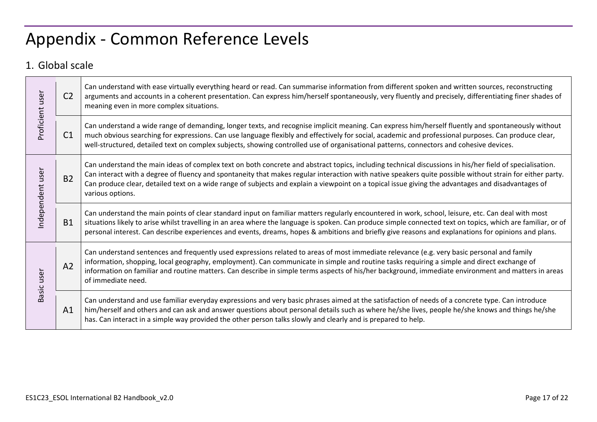## Appendix - Common Reference Levels

### 1. Global scale

| Proficient user  | C <sub>2</sub> | Can understand with ease virtually everything heard or read. Can summarise information from different spoken and written sources, reconstructing<br>arguments and accounts in a coherent presentation. Can express him/herself spontaneously, very fluently and precisely, differentiating finer shades of<br>meaning even in more complex situations.                                                                                                                                         |
|------------------|----------------|------------------------------------------------------------------------------------------------------------------------------------------------------------------------------------------------------------------------------------------------------------------------------------------------------------------------------------------------------------------------------------------------------------------------------------------------------------------------------------------------|
|                  | C <sub>1</sub> | Can understand a wide range of demanding, longer texts, and recognise implicit meaning. Can express him/herself fluently and spontaneously without<br>much obvious searching for expressions. Can use language flexibly and effectively for social, academic and professional purposes. Can produce clear,<br>well-structured, detailed text on complex subjects, showing controlled use of organisational patterns, connectors and cohesive devices.                                          |
| Independent user | <b>B2</b>      | Can understand the main ideas of complex text on both concrete and abstract topics, including technical discussions in his/her field of specialisation.<br>Can interact with a degree of fluency and spontaneity that makes regular interaction with native speakers quite possible without strain for either party.<br>Can produce clear, detailed text on a wide range of subjects and explain a viewpoint on a topical issue giving the advantages and disadvantages of<br>various options. |
|                  | <b>B1</b>      | Can understand the main points of clear standard input on familiar matters regularly encountered in work, school, leisure, etc. Can deal with most<br>situations likely to arise whilst travelling in an area where the language is spoken. Can produce simple connected text on topics, which are familiar, or of<br>personal interest. Can describe experiences and events, dreams, hopes & ambitions and briefly give reasons and explanations for opinions and plans.                      |
| user             | A2             | Can understand sentences and frequently used expressions related to areas of most immediate relevance (e.g. very basic personal and family<br>information, shopping, local geography, employment). Can communicate in simple and routine tasks requiring a simple and direct exchange of<br>information on familiar and routine matters. Can describe in simple terms aspects of his/her background, immediate environment and matters in areas<br>of immediate need.                          |
| <b>Basic</b>     | A1             | Can understand and use familiar everyday expressions and very basic phrases aimed at the satisfaction of needs of a concrete type. Can introduce<br>him/herself and others and can ask and answer questions about personal details such as where he/she lives, people he/she knows and things he/she<br>has. Can interact in a simple way provided the other person talks slowly and clearly and is prepared to help.                                                                          |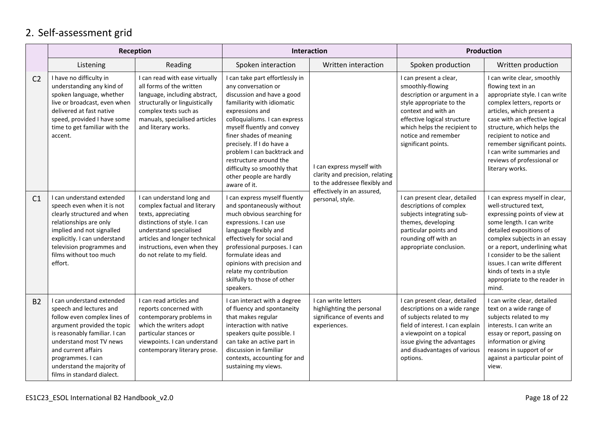### 2. Self-assessment grid

|                | Reception                                                                                                                                                                                                                                                                               |                                                                                                                                                                                                                                           |                                                                                                                                                                                                                                                                                                                                                                                                 | Interaction                                                                                                                 | Production                                                                                                                                                                                                                                 |                                                                                                                                                                                                                                                                                                                                                          |
|----------------|-----------------------------------------------------------------------------------------------------------------------------------------------------------------------------------------------------------------------------------------------------------------------------------------|-------------------------------------------------------------------------------------------------------------------------------------------------------------------------------------------------------------------------------------------|-------------------------------------------------------------------------------------------------------------------------------------------------------------------------------------------------------------------------------------------------------------------------------------------------------------------------------------------------------------------------------------------------|-----------------------------------------------------------------------------------------------------------------------------|--------------------------------------------------------------------------------------------------------------------------------------------------------------------------------------------------------------------------------------------|----------------------------------------------------------------------------------------------------------------------------------------------------------------------------------------------------------------------------------------------------------------------------------------------------------------------------------------------------------|
|                | Listening                                                                                                                                                                                                                                                                               | Reading                                                                                                                                                                                                                                   | Spoken interaction                                                                                                                                                                                                                                                                                                                                                                              | Written interaction                                                                                                         | Spoken production                                                                                                                                                                                                                          | Written production                                                                                                                                                                                                                                                                                                                                       |
| C <sub>2</sub> | I have no difficulty in<br>understanding any kind of<br>spoken language, whether<br>live or broadcast, even when<br>delivered at fast native<br>speed, provided I have some<br>time to get familiar with the<br>accent.                                                                 | I can read with ease virtually<br>all forms of the written<br>language, including abstract,<br>structurally or linguistically<br>complex texts such as<br>manuals, specialised articles<br>and literary works.                            | I can take part effortlessly in<br>any conversation or<br>discussion and have a good<br>familiarity with idiomatic<br>expressions and<br>colloquialisms. I can express<br>myself fluently and convey<br>finer shades of meaning<br>precisely. If I do have a<br>problem I can backtrack and<br>restructure around the<br>difficulty so smoothly that<br>other people are hardly<br>aware of it. | I can express myself with<br>clarity and precision, relating<br>to the addressee flexibly and<br>effectively in an assured, | I can present a clear,<br>smoothly-flowing<br>description or argument in a<br>style appropriate to the<br>context and with an<br>effective logical structure<br>which helps the recipient to<br>notice and remember<br>significant points. | I can write clear, smoothly<br>flowing text in an<br>appropriate style. I can write<br>complex letters, reports or<br>articles, which present a<br>case with an effective logical<br>structure, which helps the<br>recipient to notice and<br>remember significant points.<br>I can write summaries and<br>reviews of professional or<br>literary works. |
| C <sub>1</sub> | I can understand extended<br>speech even when it is not<br>clearly structured and when<br>relationships are only<br>implied and not signalled<br>explicitly. I can understand<br>television programmes and<br>films without too much<br>effort.                                         | I can understand long and<br>complex factual and literary<br>texts, appreciating<br>distinctions of style. I can<br>understand specialised<br>articles and longer technical<br>instructions, even when they<br>do not relate to my field. | I can express myself fluently<br>and spontaneously without<br>much obvious searching for<br>expressions. I can use<br>language flexibly and<br>effectively for social and<br>professional purposes. I can<br>formulate ideas and<br>opinions with precision and<br>relate my contribution<br>skilfully to those of other<br>speakers.                                                           | personal, style.                                                                                                            | I can present clear, detailed<br>descriptions of complex<br>subjects integrating sub-<br>themes, developing<br>particular points and<br>rounding off with an<br>appropriate conclusion.                                                    | I can express myself in clear,<br>well-structured text,<br>expressing points of view at<br>some length. I can write<br>detailed expositions of<br>complex subjects in an essay<br>or a report, underlining what<br>I consider to be the salient<br>issues. I can write different<br>kinds of texts in a style<br>appropriate to the reader in<br>mind.   |
| <b>B2</b>      | I can understand extended<br>speech and lectures and<br>follow even complex lines of<br>argument provided the topic<br>is reasonably familiar. I can<br>understand most TV news<br>and current affairs<br>programmes. I can<br>understand the majority of<br>films in standard dialect. | I can read articles and<br>reports concerned with<br>contemporary problems in<br>which the writers adopt<br>particular stances or<br>viewpoints. I can understand<br>contemporary literary prose.                                         | can interact with a degree<br>of fluency and spontaneity<br>that makes regular<br>interaction with native<br>speakers quite possible. I<br>can take an active part in<br>discussion in familiar<br>contexts, accounting for and<br>sustaining my views.                                                                                                                                         | I can write letters<br>highlighting the personal<br>significance of events and<br>experiences.                              | I can present clear, detailed<br>descriptions on a wide range<br>of subjects related to my<br>field of interest. I can explain<br>a viewpoint on a topical<br>issue giving the advantages<br>and disadvantages of various<br>options.      | I can write clear, detailed<br>text on a wide range of<br>subjects related to my<br>interests. I can write an<br>essay or report, passing on<br>information or giving<br>reasons in support of or<br>against a particular point of<br>view.                                                                                                              |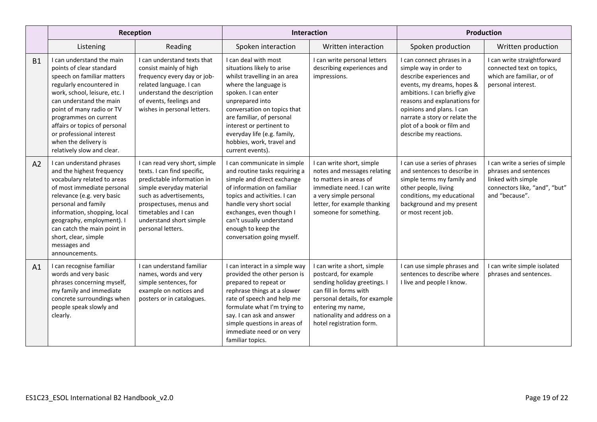|           | <b>Reception</b>                                                                                                                                                                                                                                                                                                                                     |                                                                                                                                                                                                                                                      |                                                                                                                                                                                                                                                                                                                             | Interaction                                                                                                                                                                                                                      | <b>Production</b>                                                                                                                                                                                                                                                                                     |                                                                                                                                  |
|-----------|------------------------------------------------------------------------------------------------------------------------------------------------------------------------------------------------------------------------------------------------------------------------------------------------------------------------------------------------------|------------------------------------------------------------------------------------------------------------------------------------------------------------------------------------------------------------------------------------------------------|-----------------------------------------------------------------------------------------------------------------------------------------------------------------------------------------------------------------------------------------------------------------------------------------------------------------------------|----------------------------------------------------------------------------------------------------------------------------------------------------------------------------------------------------------------------------------|-------------------------------------------------------------------------------------------------------------------------------------------------------------------------------------------------------------------------------------------------------------------------------------------------------|----------------------------------------------------------------------------------------------------------------------------------|
|           | Listening                                                                                                                                                                                                                                                                                                                                            | Reading                                                                                                                                                                                                                                              | Spoken interaction                                                                                                                                                                                                                                                                                                          | Written interaction                                                                                                                                                                                                              | Spoken production                                                                                                                                                                                                                                                                                     | Written production                                                                                                               |
| <b>B1</b> | I can understand the main<br>points of clear standard<br>speech on familiar matters<br>regularly encountered in<br>work, school, leisure, etc. I<br>can understand the main<br>point of many radio or TV<br>programmes on current<br>affairs or topics of personal<br>or professional interest<br>when the delivery is<br>relatively slow and clear. | I can understand texts that<br>consist mainly of high<br>frequency every day or job-<br>related language. I can<br>understand the description<br>of events, feelings and<br>wishes in personal letters.                                              | can deal with most<br>situations likely to arise<br>whilst travelling in an area<br>where the language is<br>spoken. I can enter<br>unprepared into<br>conversation on topics that<br>are familiar, of personal<br>interest or pertinent to<br>everyday life (e.g. family,<br>hobbies, work, travel and<br>current events). | I can write personal letters<br>describing experiences and<br>impressions.                                                                                                                                                       | I can connect phrases in a<br>simple way in order to<br>describe experiences and<br>events, my dreams, hopes &<br>ambitions. I can briefly give<br>reasons and explanations for<br>opinions and plans. I can<br>narrate a story or relate the<br>plot of a book or film and<br>describe my reactions. | I can write straightforward<br>connected text on topics,<br>which are familiar, or of<br>personal interest.                      |
| A2        | I can understand phrases<br>and the highest frequency<br>vocabulary related to areas<br>of most immediate personal<br>relevance (e.g. very basic<br>personal and family<br>information, shopping, local<br>geography, employment). I<br>can catch the main point in<br>short, clear, simple<br>messages and<br>announcements.                        | I can read very short, simple<br>texts. I can find specific,<br>predictable information in<br>simple everyday material<br>such as advertisements,<br>prospectuses, menus and<br>timetables and I can<br>understand short simple<br>personal letters. | I can communicate in simple<br>and routine tasks requiring a<br>simple and direct exchange<br>of information on familiar<br>topics and activities. I can<br>handle very short social<br>exchanges, even though I<br>can't usually understand<br>enough to keep the<br>conversation going myself.                            | I can write short, simple<br>notes and messages relating<br>to matters in areas of<br>immediate need. I can write<br>a very simple personal<br>letter, for example thanking<br>someone for something.                            | I can use a series of phrases<br>and sentences to describe in<br>simple terms my family and<br>other people, living<br>conditions, my educational<br>background and my present<br>or most recent job.                                                                                                 | I can write a series of simple<br>phrases and sentences<br>linked with simple<br>connectors like, "and", "but"<br>and "because". |
| A1        | I can recognise familiar<br>words and very basic<br>phrases concerning myself,<br>my family and immediate<br>concrete surroundings when<br>people speak slowly and<br>clearly.                                                                                                                                                                       | I can understand familiar<br>names, words and very<br>simple sentences, for<br>example on notices and<br>posters or in catalogues.                                                                                                                   | can interact in a simple way<br>provided the other person is<br>prepared to repeat or<br>rephrase things at a slower<br>rate of speech and help me<br>formulate what I'm trying to<br>say. I can ask and answer<br>simple questions in areas of<br>immediate need or on very<br>familiar topics.                            | I can write a short, simple<br>postcard, for example<br>sending holiday greetings. I<br>can fill in forms with<br>personal details, for example<br>entering my name,<br>nationality and address on a<br>hotel registration form. | I can use simple phrases and<br>sentences to describe where<br>I live and people I know.                                                                                                                                                                                                              | I can write simple isolated<br>phrases and sentences.                                                                            |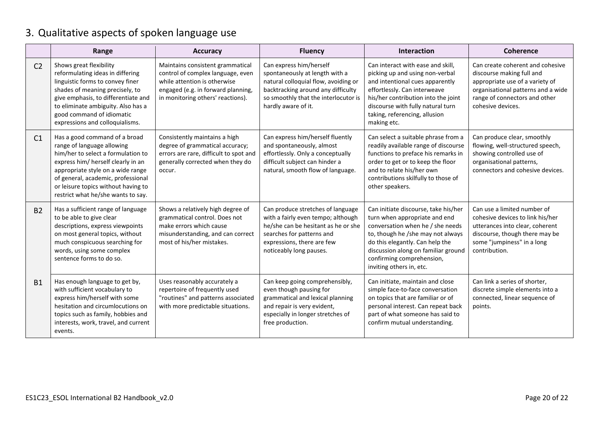### 3. Qualitative aspects of spoken language use

|                | Range                                                                                                                                                                                                                                                                                           | <b>Accuracy</b>                                                                                                                                                                  | <b>Fluency</b>                                                                                                                                                                                         | Interaction                                                                                                                                                                                                                                                                       | Coherence                                                                                                                                                                                    |
|----------------|-------------------------------------------------------------------------------------------------------------------------------------------------------------------------------------------------------------------------------------------------------------------------------------------------|----------------------------------------------------------------------------------------------------------------------------------------------------------------------------------|--------------------------------------------------------------------------------------------------------------------------------------------------------------------------------------------------------|-----------------------------------------------------------------------------------------------------------------------------------------------------------------------------------------------------------------------------------------------------------------------------------|----------------------------------------------------------------------------------------------------------------------------------------------------------------------------------------------|
| C <sub>2</sub> | Shows great flexibility<br>reformulating ideas in differing<br>linguistic forms to convey finer<br>shades of meaning precisely, to<br>give emphasis, to differentiate and<br>to eliminate ambiguity. Also has a<br>good command of idiomatic<br>expressions and colloquialisms.                 | Maintains consistent grammatical<br>control of complex language, even<br>while attention is otherwise<br>engaged (e.g. in forward planning,<br>in monitoring others' reactions). | Can express him/herself<br>spontaneously at length with a<br>natural colloquial flow, avoiding or<br>backtracking around any difficulty<br>so smoothly that the interlocutor is<br>hardly aware of it. | Can interact with ease and skill,<br>picking up and using non-verbal<br>and intentional cues apparently<br>effortlessly. Can interweave<br>his/her contribution into the joint<br>discourse with fully natural turn<br>taking, referencing, allusion<br>making etc.               | Can create coherent and cohesive<br>discourse making full and<br>appropriate use of a variety of<br>organisational patterns and a wide<br>range of connectors and other<br>cohesive devices. |
| C <sub>1</sub> | Has a good command of a broad<br>range of language allowing<br>him/her to select a formulation to<br>express him/ herself clearly in an<br>appropriate style on a wide range<br>of general, academic, professional<br>or leisure topics without having to<br>restrict what he/she wants to say. | Consistently maintains a high<br>degree of grammatical accuracy;<br>errors are rare, difficult to spot and<br>generally corrected when they do<br>occur.                         | Can express him/herself fluently<br>and spontaneously, almost<br>effortlessly. Only a conceptually<br>difficult subject can hinder a<br>natural, smooth flow of language.                              | Can select a suitable phrase from a<br>readily available range of discourse<br>functions to preface his remarks in<br>order to get or to keep the floor<br>and to relate his/her own<br>contributions skilfully to those of<br>other speakers.                                    | Can produce clear, smoothly<br>flowing, well-structured speech,<br>showing controlled use of<br>organisational patterns,<br>connectors and cohesive devices.                                 |
| B <sub>2</sub> | Has a sufficient range of language<br>to be able to give clear<br>descriptions, express viewpoints<br>on most general topics, without<br>much conspicuous searching for<br>words, using some complex<br>sentence forms to do so.                                                                | Shows a relatively high degree of<br>grammatical control. Does not<br>make errors which cause<br>misunderstanding, and can correct<br>most of his/her mistakes.                  | Can produce stretches of language<br>with a fairly even tempo; although<br>he/she can be hesitant as he or she<br>searches for patterns and<br>expressions, there are few<br>noticeably long pauses.   | Can initiate discourse, take his/her<br>turn when appropriate and end<br>conversation when he / she needs<br>to, though he /she may not always<br>do this elegantly. Can help the<br>discussion along on familiar ground<br>confirming comprehension,<br>inviting others in, etc. | Can use a limited number of<br>cohesive devices to link his/her<br>utterances into clear, coherent<br>discourse, though there may be<br>some "jumpiness" in a long<br>contribution.          |
| <b>B1</b>      | Has enough language to get by,<br>with sufficient vocabulary to<br>express him/herself with some<br>hesitation and circumlocutions on<br>topics such as family, hobbies and<br>interests, work, travel, and current<br>events.                                                                  | Uses reasonably accurately a<br>repertoire of frequently used<br>"routines" and patterns associated<br>with more predictable situations.                                         | Can keep going comprehensibly,<br>even though pausing for<br>grammatical and lexical planning<br>and repair is very evident,<br>especially in longer stretches of<br>free production.                  | Can initiate, maintain and close<br>simple face-to-face conversation<br>on topics that are familiar or of<br>personal interest. Can repeat back<br>part of what someone has said to<br>confirm mutual understanding.                                                              | Can link a series of shorter,<br>discrete simple elements into a<br>connected, linear sequence of<br>points.                                                                                 |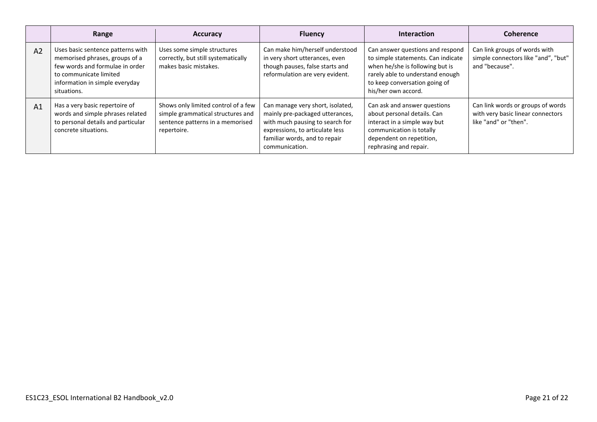|                | Range                                                                                                                                                                             | <b>Accuracy</b>                                                                                                             | <b>Fluency</b>                                                                                                                                                                               | <b>Interaction</b>                                                                                                                                                                                    | Coherence                                                                                       |
|----------------|-----------------------------------------------------------------------------------------------------------------------------------------------------------------------------------|-----------------------------------------------------------------------------------------------------------------------------|----------------------------------------------------------------------------------------------------------------------------------------------------------------------------------------------|-------------------------------------------------------------------------------------------------------------------------------------------------------------------------------------------------------|-------------------------------------------------------------------------------------------------|
| A <sub>2</sub> | Uses basic sentence patterns with<br>memorised phrases, groups of a<br>few words and formulae in order<br>to communicate limited<br>information in simple everyday<br>situations. | Uses some simple structures<br>correctly, but still systematically<br>makes basic mistakes.                                 | Can make him/herself understood<br>in very short utterances, even<br>though pauses, false starts and<br>reformulation are very evident.                                                      | Can answer questions and respond<br>to simple statements. Can indicate<br>when he/she is following but is<br>rarely able to understand enough<br>to keep conversation going of<br>his/her own accord. | Can link groups of words with<br>simple connectors like "and", "but"<br>and "because".          |
| A <sub>1</sub> | Has a very basic repertoire of<br>words and simple phrases related<br>to personal details and particular<br>concrete situations.                                                  | Shows only limited control of a few<br>simple grammatical structures and<br>sentence patterns in a memorised<br>repertoire. | Can manage very short, isolated,<br>mainly pre-packaged utterances,<br>with much pausing to search for<br>expressions, to articulate less<br>familiar words, and to repair<br>communication. | Can ask and answer questions<br>about personal details. Can<br>interact in a simple way but<br>communication is totally<br>dependent on repetition,<br>rephrasing and repair.                         | Can link words or groups of words<br>with very basic linear connectors<br>like "and" or "then". |